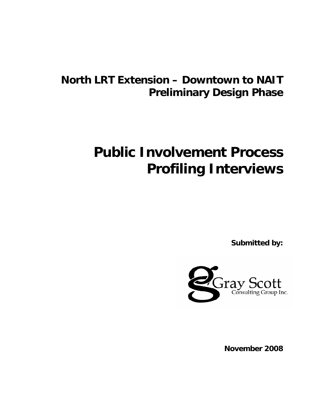# **North LRT Extension – Downtown to NAIT Preliminary Design Phase**

# **Public Involvement Process Profiling Interviews**

**Submitted by:**



**November 2008**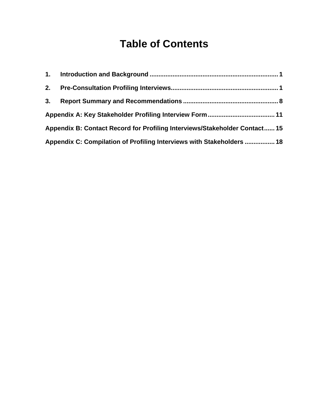# **Table of Contents**

| 2. |                                                                            |  |
|----|----------------------------------------------------------------------------|--|
| 3. |                                                                            |  |
|    |                                                                            |  |
|    | Appendix B: Contact Record for Profiling Interviews/Stakeholder Contact 15 |  |
|    | Appendix C: Compilation of Profiling Interviews with Stakeholders  18      |  |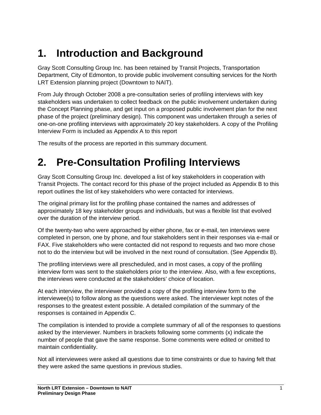# <span id="page-2-0"></span>**1. Introduction and Background**

Gray Scott Consulting Group Inc. has been retained by Transit Projects, Transportation Department, City of Edmonton, to provide public involvement consulting services for the North LRT Extension planning project (Downtown to NAIT).

From July through October 2008 a pre-consultation series of profiling interviews with key stakeholders was undertaken to collect feedback on the public involvement undertaken during the Concept Planning phase, and get input on a proposed public involvement plan for the next phase of the project (preliminary design). This component was undertaken through a series of one-on-one profiling interviews with approximately 20 key stakeholders. A copy of the Profiling Interview Form is included as Appendix A to this report

The results of the process are reported in this summary document.

# <span id="page-2-1"></span>**2. Pre-Consultation Profiling Interviews**

Gray Scott Consulting Group Inc. developed a list of key stakeholders in cooperation with Transit Projects. The contact record for this phase of the project included as Appendix B to this report outlines the list of key stakeholders who were contacted for interviews.

The original primary list for the profiling phase contained the names and addresses of approximately 18 key stakeholder groups and individuals, but was a flexible list that evolved over the duration of the interview period.

Of the twenty-two who were approached by either phone, fax or e-mail, ten interviews were completed in person, one by phone, and four stakeholders sent in their responses via e-mail or FAX. Five stakeholders who were contacted did not respond to requests and two more chose not to do the interview but will be involved in the next round of consultation. (See Appendix B).

The profiling interviews were all prescheduled, and in most cases, a copy of the profiling interview form was sent to the stakeholders prior to the interview. Also, with a few exceptions, the interviews were conducted at the stakeholders' choice of location.

At each interview, the interviewer provided a copy of the profiling interview form to the interviewee(s) to follow along as the questions were asked. The interviewer kept notes of the responses to the greatest extent possible. A detailed compilation of the summary of the responses is contained in Appendix C.

The compilation is intended to provide a complete summary of all of the responses to questions asked by the interviewer. Numbers in brackets following some comments (x) indicate the number of people that gave the same response. Some comments were edited or omitted to maintain confidentiality.

Not all interviewees were asked all questions due to time constraints or due to having felt that they were asked the same questions in previous studies.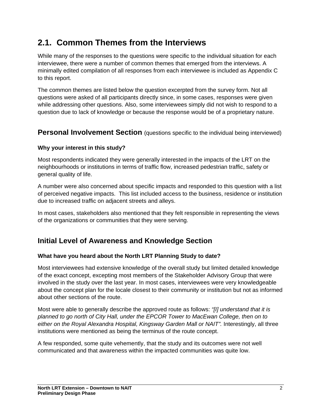# **2.1. Common Themes from the Interviews**

While many of the responses to the questions were specific to the individual situation for each interviewee, there were a number of common themes that emerged from the interviews. A minimally edited compilation of all responses from each interviewee is included as Appendix C to this report.

The common themes are listed below the question excerpted from the survey form. Not all questions were asked of all participants directly since, in some cases, responses were given while addressing other questions. Also, some interviewees simply did not wish to respond to a question due to lack of knowledge or because the response would be of a proprietary nature.

## **Personal Involvement Section** (questions specific to the individual being interviewed)

### **Why your interest in this study?**

Most respondents indicated they were generally interested in the impacts of the LRT on the neighbourhoods or institutions in terms of traffic flow, increased pedestrian traffic, safety or general quality of life.

A number were also concerned about specific impacts and responded to this question with a list of perceived negative impacts. This list included access to the business, residence or institution due to increased traffic on adjacent streets and alleys.

In most cases, stakeholders also mentioned that they felt responsible in representing the views of the organizations or communities that they were serving.

## **Initial Level of Awareness and Knowledge Section**

### **What have you heard about the North LRT Planning Study to date?**

Most interviewees had extensive knowledge of the overall study but limited detailed knowledge of the exact concept, excepting most members of the Stakeholder Advisory Group that were involved in the study over the last year. In most cases, interviewees were very knowledgeable about the concept plan for the locale closest to their community or institution but not as informed about other sections of the route.

Most were able to generally describe the approved route as follows: *"[I] understand that it is planned to go north of City Hall, under the EPCOR Tower to MacEwan College, then on to*  either on the Royal Alexandra Hospital, Kingsway Garden Mall or NAIT". Interestingly, all three institutions were mentioned as being the terminus of the route concept.

A few responded, some quite vehemently, that the study and its outcomes were not well communicated and that awareness within the impacted communities was quite low.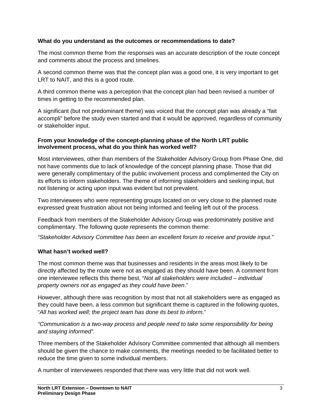#### **What do you understand as the outcomes or recommendations to date?**

The most common theme from the responses was an accurate description of the route concept and comments about the process and timelines.

A second common theme was that the concept plan was a good one, it is very important to get LRT to NAIT, and this is a good route.

A third common theme was a perception that the concept plan had been revised a number of times in getting to the recommended plan.

A significant (but not predominant theme) was voiced that the concept plan was already a "fait accompli" before the study even started and that it would be approved, regardless of community or stakeholder input.

#### **From your knowledge of the concept-planning phase of the North LRT public involvement process, what do you think has worked well?**

Most interviewees, other than members of the Stakeholder Advisory Group from Phase One, did not have comments due to lack of knowledge of the concept planning phase. Those that did were generally complimentary of the public involvement process and complimented the City on its efforts to inform stakeholders. The theme of informing stakeholders and seeking input, but not listening or acting upon input was evident but not prevalent.

Two interviewees who were representing groups located on or very close to the planned route expressed great frustration about not being informed and feeling left out of the process.

Feedback from members of the Stakeholder Advisory Group was predominately positive and complimentary. The following quote represents the common theme:

*"Stakeholder Advisory Committee has been an excellent forum to receive and provide input."* 

### **What hasn't worked well?**

The most common theme was that businesses and residents in the areas most likely to be directly affected by the route were not as engaged as they should have been. A comment from one interviewee reflects this theme best, "*Not all stakeholders were included – individual property owners not as engaged as they could have been*."

However, although there was recognition by most that not all stakeholders were as engaged as they could have been, a less common but significant theme is captured in the following quotes, "*All has worked well; the project team has done its best to inform*."

### *"Communication is a two-way process and people need to take some responsibility for being and staying informed".*

Three members of the Stakeholder Advisory Committee commented that although all members should be given the chance to make comments, the meetings needed to be facilitated better to reduce the time given to some individual members.

A number of interviewees responded that there was very little that did not work well.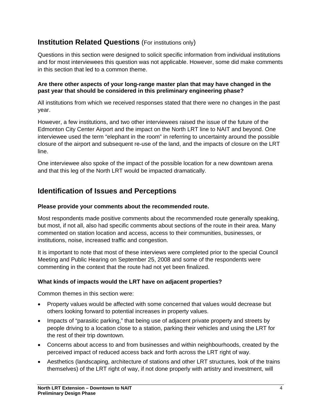## **Institution Related Questions** (For institutions only)

Questions in this section were designed to solicit specific information from individual institutions and for most interviewees this question was not applicable. However, some did make comments in this section that led to a common theme.

#### **Are there other aspects of your long-range master plan that may have changed in the past year that should be considered in this preliminary engineering phase?**

All institutions from which we received responses stated that there were no changes in the past year.

However, a few institutions, and two other interviewees raised the issue of the future of the Edmonton City Center Airport and the impact on the North LRT line to NAIT and beyond. One interviewee used the term "elephant in the room" in referring to uncertainty around the possible closure of the airport and subsequent re-use of the land, and the impacts of closure on the LRT line.

One interviewee also spoke of the impact of the possible location for a new downtown arena and that this leg of the North LRT would be impacted dramatically.

## **Identification of Issues and Perceptions**

#### **Please provide your comments about the recommended route.**

Most respondents made positive comments about the recommended route generally speaking, but most, if not all, also had specific comments about sections of the route in their area. Many commented on station location and access, access to their communities, businesses, or institutions, noise, increased traffic and congestion.

It is important to note that most of these interviews were completed prior to the special Council Meeting and Public Hearing on September 25, 2008 and some of the respondents were commenting in the context that the route had not yet been finalized.

### **What kinds of impacts would the LRT have on adjacent properties?**

Common themes in this section were:

- Property values would be affected with some concerned that values would decrease but others looking forward to potential increases in property values.
- Impacts of "parasitic parking," that being use of adjacent private property and streets by people driving to a location close to a station, parking their vehicles and using the LRT for the rest of their trip downtown.
- Concerns about access to and from businesses and within neighbourhoods, created by the perceived impact of reduced access back and forth across the LRT right of way.
- Aesthetics (landscaping, architecture of stations and other LRT structures, look of the trains themselves) of the LRT right of way, if not done properly with artistry and investment, will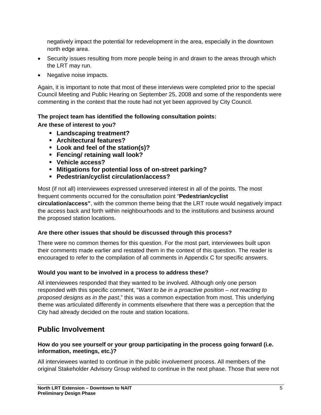negatively impact the potential for redevelopment in the area, especially in the downtown north edge area.

- Security issues resulting from more people being in and drawn to the areas through which the LRT may run.
- Negative noise impacts.

Again, it is important to note that most of these interviews were completed prior to the special Council Meeting and Public Hearing on September 25, 2008 and some of the respondents were commenting in the context that the route had not yet been approved by City Council.

## **The project team has identified the following consultation points:**

### **Are these of interest to you?**

- **Landscaping treatment?**
- **Architectural features?**
- **Look and feel of the station(s)?**
- **Fencing/ retaining wall look?**
- **Vehicle access?**
- **Mitigations for potential loss of on-street parking?**
- **Pedestrian/cyclist circulation/access?**

Most (if not all) interviewees expressed unreserved interest in all of the points. The most frequent comments occurred for the consultation point "**Pedestrian/cyclist circulation/access"**, with the common theme being that the LRT route would negatively impact the access back and forth within neighbourhoods and to the institutions and business around the proposed station locations.

## **Are there other issues that should be discussed through this process?**

There were no common themes for this question. For the most part, interviewees built upon their comments made earlier and restated them in the context of this question. The reader is encouraged to refer to the compilation of all comments in Appendix C for specific answers.

## **Would you want to be involved in a process to address these?**

All interviewees responded that they wanted to be involved. Although only one person responded with this specific comment, "*Want to be in a proactive position – not reacting to proposed designs as in the past*," this was a common expectation from most. This underlying theme was articulated differently in comments elsewhere that there was a perception that the City had already decided on the route and station locations.

# **Public Involvement**

### **How do you see yourself or your group participating in the process going forward (i.e. information, meetings, etc.)?**

All interviewees wanted to continue in the public involvement process. All members of the original Stakeholder Advisory Group wished to continue in the next phase. Those that were not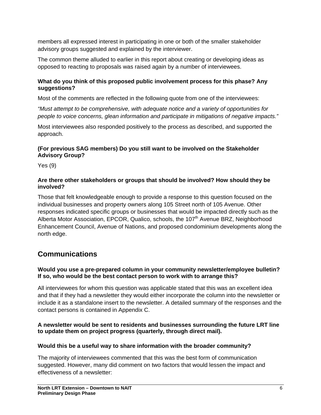members all expressed interest in participating in one or both of the smaller stakeholder advisory groups suggested and explained by the interviewer.

The common theme alluded to earlier in this report about creating or developing ideas as opposed to reacting to proposals was raised again by a number of interviewees.

### **What do you think of this proposed public involvement process for this phase? Any suggestions?**

Most of the comments are reflected in the following quote from one of the interviewees:

*"Must attempt to be comprehensive, with adequate notice and a variety of opportunities for people to voice concerns, glean information and participate in mitigations of negative impacts."*

Most interviewees also responded positively to the process as described, and supported the approach.

### **(For previous SAG members) Do you still want to be involved on the Stakeholder Advisory Group?**

Yes (9)

### **Are there other stakeholders or groups that should be involved? How should they be involved?**

Those that felt knowledgeable enough to provide a response to this question focused on the individual businesses and property owners along 105 Street north of 105 Avenue. Other responses indicated specific groups or businesses that would be impacted directly such as the Alberta Motor Association, EPCOR, Qualico, schools, the  $107<sup>th</sup>$  Avenue BRZ, Neighborhood Enhancement Council, Avenue of Nations, and proposed condominium developments along the north edge.

# **Communications**

### **Would you use a pre-prepared column in your community newsletter/employee bulletin? If so, who would be the best contact person to work with to arrange this?**

All interviewees for whom this question was applicable stated that this was an excellent idea and that if they had a newsletter they would either incorporate the column into the newsletter or include it as a standalone insert to the newsletter. A detailed summary of the responses and the contact persons is contained in Appendix C.

### **A newsletter would be sent to residents and businesses surrounding the future LRT line to update them on project progress (quarterly, through direct mail).**

### **Would this be a useful way to share information with the broader community?**

The majority of interviewees commented that this was the best form of communication suggested. However, many did comment on two factors that would lessen the impact and effectiveness of a newsletter: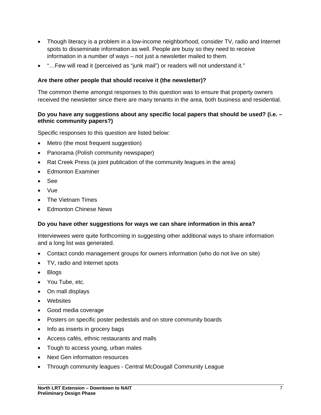- Though literacy is a problem in a low-income neighborhood, consider TV, radio and Internet spots to disseminate information as well. People are busy so they need to receive information in a number of ways – not just a newsletter mailed to them.
- "…Few will read it (perceived as "junk mail") or readers will not understand it."

#### **Are there other people that should receive it (the newsletter)?**

The common theme amongst responses to this question was to ensure that property owners received the newsletter since there are many tenants in the area, both business and residential.

#### **Do you have any suggestions about any specific local papers that should be used? (i.e. – ethnic community papers?)**

Specific responses to this question are listed below:

- Metro (the most frequent suggestion)
- Panorama (Polish community newspaper)
- Rat Creek Press (a joint publication of the community leagues in the area)
- Edmonton Examiner
- See
- Vue
- The Vietnam Times
- **Edmonton Chinese News**

#### **Do you have other suggestions for ways we can share information in this area?**

Interviewees were quite forthcoming in suggesting other additional ways to share information and a long list was generated.

- Contact condo management groups for owners information (who do not live on site)
- TV, radio and Internet spots
- Blogs
- You Tube, etc.
- On mall displays
- Websites
- Good media coverage
- Posters on specific poster pedestals and on store community boards
- Info as inserts in grocery bags
- Access cafés, ethnic restaurants and malls
- Tough to access young, urban males
- Next Gen information resources
- Through community leagues Central McDougall Community League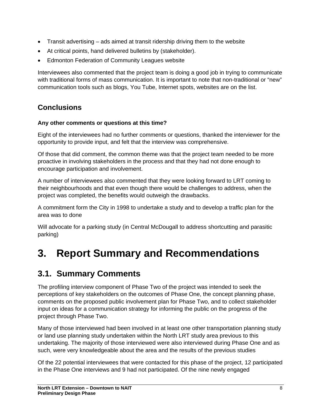- Transit advertising ads aimed at transit ridership driving them to the website
- At critical points, hand delivered bulletins by (stakeholder).
- **Edmonton Federation of Community Leagues website**

Interviewees also commented that the project team is doing a good job in trying to communicate with traditional forms of mass communication. It is important to note that non-traditional or "new" communication tools such as blogs, You Tube, Internet spots, websites are on the list.

# **Conclusions**

### **Any other comments or questions at this time?**

Eight of the interviewees had no further comments or questions, thanked the interviewer for the opportunity to provide input, and felt that the interview was comprehensive.

Of those that did comment, the common theme was that the project team needed to be more proactive in involving stakeholders in the process and that they had not done enough to encourage participation and involvement.

A number of interviewees also commented that they were looking forward to LRT coming to their neighbourhoods and that even though there would be challenges to address, when the project was completed, the benefits would outweigh the drawbacks.

A commitment form the City in 1998 to undertake a study and to develop a traffic plan for the area was to done

Will advocate for a parking study (in Central McDougall to address shortcutting and parasitic parking)

# <span id="page-9-0"></span>**3. Report Summary and Recommendations**

# **3.1. Summary Comments**

The profiling interview component of Phase Two of the project was intended to seek the perceptions of key stakeholders on the outcomes of Phase One, the concept planning phase, comments on the proposed public involvement plan for Phase Two, and to collect stakeholder input on ideas for a communication strategy for informing the public on the progress of the project through Phase Two.

Many of those interviewed had been involved in at least one other transportation planning study or land use planning study undertaken within the North LRT study area previous to this undertaking. The majority of those interviewed were also interviewed during Phase One and as such, were very knowledgeable about the area and the results of the previous studies

Of the 22 potential interviewees that were contacted for this phase of the project, 12 participated in the Phase One interviews and 9 had not participated. Of the nine newly engaged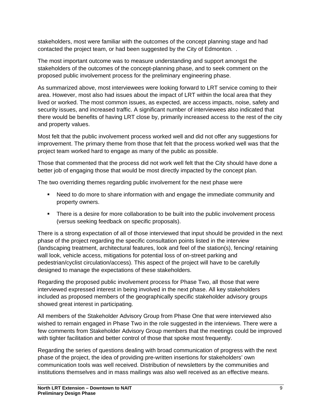stakeholders, most were familiar with the outcomes of the concept planning stage and had contacted the project team, or had been suggested by the City of Edmonton. .

The most important outcome was to measure understanding and support amongst the stakeholders of the outcomes of the concept-planning phase, and to seek comment on the proposed public involvement process for the preliminary engineering phase.

As summarized above, most interviewees were looking forward to LRT service coming to their area. However, most also had issues about the impact of LRT within the local area that they lived or worked. The most common issues, as expected, are access impacts, noise, safety and security issues, and increased traffic. A significant number of interviewees also indicated that there would be benefits of having LRT close by, primarily increased access to the rest of the city and property values.

Most felt that the public involvement process worked well and did not offer any suggestions for improvement. The primary theme from those that felt that the process worked well was that the project team worked hard to engage as many of the public as possible.

Those that commented that the process did not work well felt that the City should have done a better job of engaging those that would be most directly impacted by the concept plan.

The two overriding themes regarding public involvement for the next phase were

- Need to do more to share information with and engage the immediate community and property owners.
- **There is a desire for more collaboration to be built into the public involvement process** (versus seeking feedback on specific proposals).

There is a strong expectation of all of those interviewed that input should be provided in the next phase of the project regarding the specific consultation points listed in the interview (landscaping treatment, architectural features, look and feel of the station(s), fencing/ retaining wall look, vehicle access, mitigations for potential loss of on-street parking and pedestrian/cyclist circulation/access). This aspect of the project will have to be carefully designed to manage the expectations of these stakeholders.

Regarding the proposed public involvement process for Phase Two, all those that were interviewed expressed interest in being involved in the next phase. All key stakeholders included as proposed members of the geographically specific stakeholder advisory groups showed great interest in participating.

All members of the Stakeholder Advisory Group from Phase One that were interviewed also wished to remain engaged in Phase Two in the role suggested in the interviews. There were a few comments from Stakeholder Advisory Group members that the meetings could be improved with tighter facilitation and better control of those that spoke most frequently.

Regarding the series of questions dealing with broad communication of progress with the next phase of the project, the idea of providing pre-written insertions for stakeholders' own communication tools was well received. Distribution of newsletters by the communities and institutions themselves and in mass mailings was also well received as an effective means.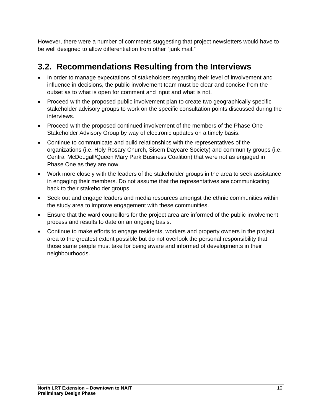However, there were a number of comments suggesting that project newsletters would have to be well designed to allow differentiation from other "junk mail."

# **3.2. Recommendations Resulting from the Interviews**

- In order to manage expectations of stakeholders regarding their level of involvement and influence in decisions, the public involvement team must be clear and concise from the outset as to what is open for comment and input and what is not.
- Proceed with the proposed public involvement plan to create two geographically specific stakeholder advisory groups to work on the specific consultation points discussed during the interviews.
- Proceed with the proposed continued involvement of the members of the Phase One Stakeholder Advisory Group by way of electronic updates on a timely basis.
- Continue to communicate and build relationships with the representatives of the organizations (i.e. Holy Rosary Church, Sisem Daycare Society) and community groups (i.e. Central McDougall/Queen Mary Park Business Coalition) that were not as engaged in Phase One as they are now.
- Work more closely with the leaders of the stakeholder groups in the area to seek assistance in engaging their members. Do not assume that the representatives are communicating back to their stakeholder groups.
- Seek out and engage leaders and media resources amongst the ethnic communities within the study area to improve engagement with these communities.
- Ensure that the ward councillors for the project area are informed of the public involvement process and results to date on an ongoing basis.
- Continue to make efforts to engage residents, workers and property owners in the project area to the greatest extent possible but do not overlook the personal responsibility that those same people must take for being aware and informed of developments in their neighbourhoods.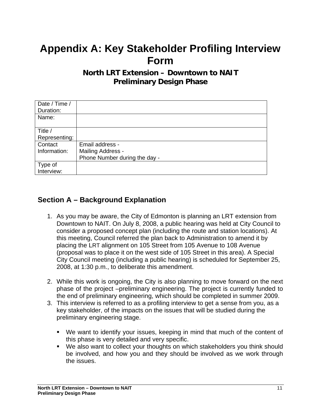# <span id="page-12-0"></span>**Appendix A: Key Stakeholder Profiling Interview Form**

## **North LRT Extension – Downtown to NAIT Preliminary Design Phase**

| Date / Time / |                               |
|---------------|-------------------------------|
| Duration:     |                               |
| Name:         |                               |
|               |                               |
| Title /       |                               |
| Representing: |                               |
| Contact       | Email address -               |
| Information:  | Mailing Address -             |
|               | Phone Number during the day - |
| Type of       |                               |
| Interview:    |                               |

# **Section A – Background Explanation**

- 1. As you may be aware, the City of Edmonton is planning an LRT extension from Downtown to NAIT. On July 8, 2008, a public hearing was held at City Council to consider a proposed concept plan (including the route and station locations). At this meeting, Council referred the plan back to Administration to amend it by placing the LRT alignment on 105 Street from 105 Avenue to 108 Avenue (proposal was to place it on the west side of 105 Street in this area). A Special City Council meeting (including a public hearing) is scheduled for September 25, 2008, at 1:30 p.m., to deliberate this amendment.
- 2. While this work is ongoing, the City is also planning to move forward on the next phase of the project –preliminary engineering. The project is currently funded to the end of preliminary engineering, which should be completed in summer 2009.
- 3. This interview is referred to as a profiling interview to get a sense from you, as a key stakeholder, of the impacts on the issues that will be studied during the preliminary engineering stage.
	- We want to identify your issues, keeping in mind that much of the content of this phase is very detailed and very specific.
	- We also want to collect your thoughts on which stakeholders you think should be involved, and how you and they should be involved as we work through the issues.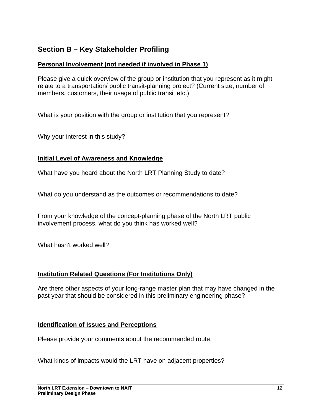# **Section B – Key Stakeholder Profiling**

## **Personal Involvement (not needed if involved in Phase 1)**

Please give a quick overview of the group or institution that you represent as it might relate to a transportation/ public transit-planning project? (Current size, number of members, customers, their usage of public transit etc.)

What is your position with the group or institution that you represent?

Why your interest in this study?

### **Initial Level of Awareness and Knowledge**

What have you heard about the North LRT Planning Study to date?

What do you understand as the outcomes or recommendations to date?

From your knowledge of the concept-planning phase of the North LRT public involvement process, what do you think has worked well?

What hasn't worked well?

## **Institution Related Questions (For Institutions Only)**

Are there other aspects of your long-range master plan that may have changed in the past year that should be considered in this preliminary engineering phase?

### **Identification of Issues and Perceptions**

Please provide your comments about the recommended route.

What kinds of impacts would the LRT have on adjacent properties?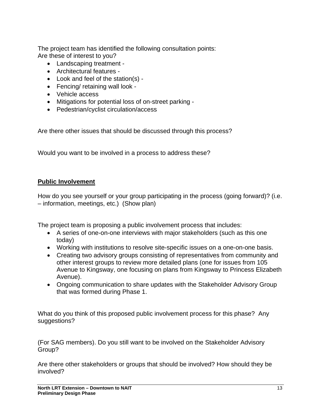The project team has identified the following consultation points: Are these of interest to you?

- Landscaping treatment -
- Architectural features -
- Look and feel of the station(s) -
- Fencing/ retaining wall look -
- Vehicle access
- Mitigations for potential loss of on-street parking -
- Pedestrian/cyclist circulation/access

Are there other issues that should be discussed through this process?

Would you want to be involved in a process to address these?

### **Public Involvement**

How do you see yourself or your group participating in the process (going forward)? (i.e. – information, meetings, etc.) (Show plan)

The project team is proposing a public involvement process that includes:

- A series of one-on-one interviews with major stakeholders (such as this one today)
- Working with institutions to resolve site-specific issues on a one-on-one basis.
- Creating two advisory groups consisting of representatives from community and other interest groups to review more detailed plans (one for issues from 105 Avenue to Kingsway, one focusing on plans from Kingsway to Princess Elizabeth Avenue).
- Ongoing communication to share updates with the Stakeholder Advisory Group that was formed during Phase 1.

What do you think of this proposed public involvement process for this phase? Any suggestions?

(For SAG members). Do you still want to be involved on the Stakeholder Advisory Group?

Are there other stakeholders or groups that should be involved? How should they be involved?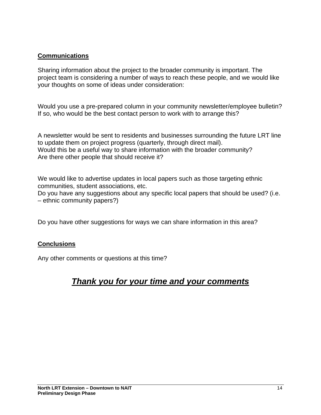### **Communications**

Sharing information about the project to the broader community is important. The project team is considering a number of ways to reach these people, and we would like your thoughts on some of ideas under consideration:

Would you use a pre-prepared column in your community newsletter/employee bulletin? If so, who would be the best contact person to work with to arrange this?

A newsletter would be sent to residents and businesses surrounding the future LRT line to update them on project progress (quarterly, through direct mail). Would this be a useful way to share information with the broader community? Are there other people that should receive it?

We would like to advertise updates in local papers such as those targeting ethnic communities, student associations, etc. Do you have any suggestions about any specific local papers that should be used? (i.e. – ethnic community papers?)

Do you have other suggestions for ways we can share information in this area?

## **Conclusions**

Any other comments or questions at this time?

# *Thank you for your time and your comments*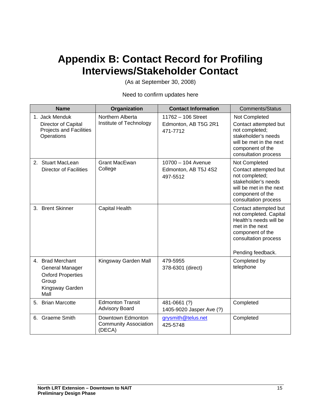# <span id="page-16-0"></span>**Appendix B: Contact Record for Profiling Interviews/Stakeholder Contact**

(As at September 30, 2008)

Need to confirm updates here

| <b>Name</b>                                                                                         | Organization                                                | <b>Contact Information</b>                             | <b>Comments/Status</b>                                                                                                                                        |
|-----------------------------------------------------------------------------------------------------|-------------------------------------------------------------|--------------------------------------------------------|---------------------------------------------------------------------------------------------------------------------------------------------------------------|
| 1. Jack Menduk<br>Director of Capital<br><b>Projects and Facilities</b><br>Operations               | Northern Alberta<br>Institute of Technology                 | 11762 - 106 Street<br>Edmonton, AB T5G 2R1<br>471-7712 | Not Completed<br>Contact attempted but<br>not completed;<br>stakeholder's needs<br>will be met in the next<br>component of the<br>consultation process        |
| 2. Stuart MacLean<br><b>Director of Facilities</b>                                                  | <b>Grant MacEwan</b><br>College                             | 10700 - 104 Avenue<br>Edmonton, AB T5J 4S2<br>497-5512 | Not Completed<br>Contact attempted but<br>not completed;<br>stakeholder's needs<br>will be met in the next<br>component of the<br>consultation process        |
| 3. Brent Skinner                                                                                    | <b>Capital Health</b>                                       |                                                        | Contact attempted but<br>not completed. Capital<br>Health's needs will be<br>met in the next<br>component of the<br>consultation process<br>Pending feedback. |
| 4. Brad Merchant<br>General Manager<br><b>Oxford Properties</b><br>Group<br>Kingsway Garden<br>Mall | Kingsway Garden Mall                                        | 479-5955<br>378-6301 (direct)                          | Completed by<br>telephone                                                                                                                                     |
| 5. Brian Marcotte                                                                                   | <b>Edmonton Transit</b><br><b>Advisory Board</b>            | 481-0661 (?)<br>1405-9020 Jasper Ave (?)               | Completed                                                                                                                                                     |
| 6. Graeme Smith                                                                                     | Downtown Edmonton<br><b>Community Association</b><br>(DECA) | grysmith@telus.net<br>425-5748                         | Completed                                                                                                                                                     |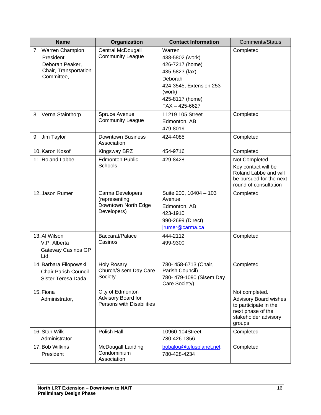| <b>Name</b>                                                                               | Organization                                                            | <b>Contact Information</b>                                                                                                                              | <b>Comments/Status</b>                                                                                                         |
|-------------------------------------------------------------------------------------------|-------------------------------------------------------------------------|---------------------------------------------------------------------------------------------------------------------------------------------------------|--------------------------------------------------------------------------------------------------------------------------------|
| 7. Warren Champion<br>President<br>Deborah Peaker,<br>Chair, Transportation<br>Committee, | Central McDougall<br><b>Community League</b>                            | Warren<br>438-5802 (work)<br>426-7217 (home)<br>435-5823 (fax)<br>Deborah<br>424-3545, Extension 253<br>(work)<br>425-8117 (home)<br>$FAX - 425 - 6627$ | Completed                                                                                                                      |
| 8. Verna Stainthorp                                                                       | Spruce Avenue<br><b>Community League</b>                                | 11219 105 Street<br>Edmonton, AB<br>479-8019                                                                                                            | Completed                                                                                                                      |
| 9. Jim Taylor                                                                             | <b>Downtown Business</b><br>Association                                 | 424-4085                                                                                                                                                | Completed                                                                                                                      |
| 10. Karon Kosof                                                                           | Kingsway BRZ                                                            | 454-9716                                                                                                                                                | Completed                                                                                                                      |
| 11. Roland Labbe                                                                          | <b>Edmonton Public</b><br>Schools                                       | 429-8428                                                                                                                                                | Not Completed.<br>Key contact will be<br>Roland Labbe and will<br>be pursued for the next<br>round of consultation             |
| 12. Jason Rumer                                                                           | Carma Developers<br>(representing<br>Downtown North Edge<br>Developers) | Suite 200, 10404 - 103<br>Avenue<br>Edmonton, AB<br>423-1910<br>990-2699 (Direct)<br>jrumer@carma.ca                                                    | Completed                                                                                                                      |
| 13. Al Wilson<br>V.P. Alberta<br>Gateway Casinos GP<br>Ltd.                               | Baccarat/Palace<br>Casinos                                              | 444-2112<br>499-9300                                                                                                                                    | Completed                                                                                                                      |
| 14. Barbara Filopowski<br>Chair Parish Council<br>Sister Teresa Dada                      | <b>Holy Rosary</b><br>Church/Sisem Day Care<br>Society                  | 780-458-6713 (Chair,<br>Parish Council)<br>780- 479-1090 (Sisem Day<br>Care Society)                                                                    | Completed                                                                                                                      |
| 15. Fiona<br>Administrator,                                                               | City of Edmonton<br>Advisory Board for<br>Persons with Disabilities     |                                                                                                                                                         | Not completed.<br><b>Advisory Board wishes</b><br>to participate in the<br>next phase of the<br>stakeholder advisory<br>groups |
| 16. Stan Wilk<br>Administrator                                                            | Polish Hall                                                             | 10960-104Street<br>780-426-1856                                                                                                                         | Completed                                                                                                                      |
| 17. Bob Wilkins<br>President                                                              | McDougall Landing<br>Condominium<br>Association                         | bobalou@telusplanet.net<br>780-428-4234                                                                                                                 | Completed                                                                                                                      |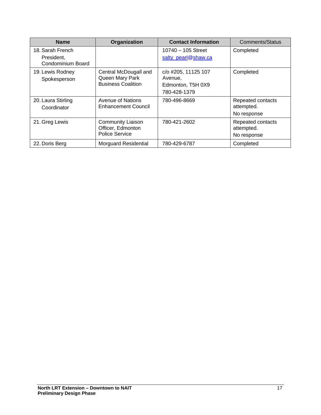| <b>Name</b>                                         | Organization                                                           | <b>Contact Information</b>                                          | <b>Comments/Status</b>                         |
|-----------------------------------------------------|------------------------------------------------------------------------|---------------------------------------------------------------------|------------------------------------------------|
| 18. Sarah French<br>President,<br>Condominium Board |                                                                        | $10740 - 105$ Street<br>salty_pearl@shaw.ca                         | Completed                                      |
| 19. Lewis Rodney<br>Spokesperson                    | Central McDougall and<br>Queen Mary Park<br><b>Business Coalition</b>  | c/o #205, 11125 107<br>Avenue,<br>Edmonton, T5H 0X9<br>780-428-1379 | Completed                                      |
| 20. Laura Stirling<br>Coordinator                   | Avenue of Nations<br><b>Enhancement Council</b>                        | 780-496-8669                                                        | Repeated contacts<br>attempted.<br>No response |
| 21. Greg Lewis                                      | <b>Community Liaison</b><br>Officer, Edmonton<br><b>Police Service</b> | 780-421-2602                                                        | Repeated contacts<br>attempted.<br>No response |
| 22. Doris Berg                                      | <b>Morguard Residential</b>                                            | 780-429-6787                                                        | Completed                                      |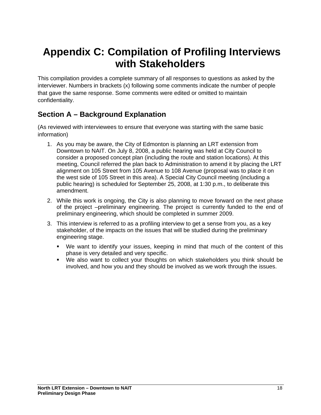# <span id="page-19-0"></span>**Appendix C: Compilation of Profiling Interviews with Stakeholders**

This compilation provides a complete summary of all responses to questions as asked by the interviewer. Numbers in brackets (x) following some comments indicate the number of people that gave the same response. Some comments were edited or omitted to maintain confidentiality.

# **Section A – Background Explanation**

(As reviewed with interviewees to ensure that everyone was starting with the same basic information)

- 1. As you may be aware, the City of Edmonton is planning an LRT extension from Downtown to NAIT. On July 8, 2008, a public hearing was held at City Council to consider a proposed concept plan (including the route and station locations). At this meeting, Council referred the plan back to Administration to amend it by placing the LRT alignment on 105 Street from 105 Avenue to 108 Avenue (proposal was to place it on the west side of 105 Street in this area). A Special City Council meeting (including a public hearing) is scheduled for September 25, 2008, at 1:30 p.m., to deliberate this amendment.
- 2. While this work is ongoing, the City is also planning to move forward on the next phase of the project –preliminary engineering. The project is currently funded to the end of preliminary engineering, which should be completed in summer 2009.
- 3. This interview is referred to as a profiling interview to get a sense from you, as a key stakeholder, of the impacts on the issues that will be studied during the preliminary engineering stage.
	- We want to identify your issues, keeping in mind that much of the content of this phase is very detailed and very specific.
	- We also want to collect your thoughts on which stakeholders you think should be involved, and how you and they should be involved as we work through the issues.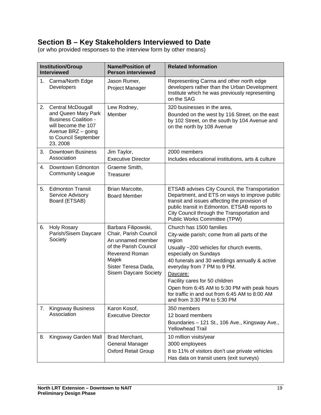# **Section B – Key Stakeholders Interviewed to Date**

(or who provided responses to the interview form by other means)

| <b>Institution/Group</b><br><b>Interviewed</b> |                                                                                                                                                                 | <b>Name/Position of</b><br><b>Person interviewed</b>                                                                                                                                | <b>Related Information</b>                                                                                                                                                                                                                                                                                                                                                                                             |
|------------------------------------------------|-----------------------------------------------------------------------------------------------------------------------------------------------------------------|-------------------------------------------------------------------------------------------------------------------------------------------------------------------------------------|------------------------------------------------------------------------------------------------------------------------------------------------------------------------------------------------------------------------------------------------------------------------------------------------------------------------------------------------------------------------------------------------------------------------|
| 1.                                             | Carma/North Edge<br>Developers                                                                                                                                  | Jason Rumer,<br>Project Manager                                                                                                                                                     | Representing Carma and other north edge<br>developers rather than the Urban Development<br>Institute which he was previously representing<br>on the SAG                                                                                                                                                                                                                                                                |
| 2.                                             | <b>Central McDougall</b><br>and Queen Mary Park<br><b>Business Coalition -</b><br>will become the 107<br>Avenue BRZ - going<br>to Council September<br>23, 2008 | Lew Rodney,<br>Member                                                                                                                                                               | 320 businesses in the area,<br>Bounded on the west by 116 Street, on the east<br>by 102 Street, on the south by 104 Avenue and<br>on the north by 108 Avenue                                                                                                                                                                                                                                                           |
| 3.                                             | <b>Downtown Business</b><br>Association                                                                                                                         | Jim Taylor,<br><b>Executive Director</b>                                                                                                                                            | 2000 members<br>Includes educational institutions, arts & culture                                                                                                                                                                                                                                                                                                                                                      |
| 4.                                             | Downtown Edmonton<br><b>Community League</b>                                                                                                                    | Graeme Smith,<br><b>Treasurer</b>                                                                                                                                                   |                                                                                                                                                                                                                                                                                                                                                                                                                        |
| 5.                                             | <b>Edmonton Transit</b><br>Service Advisory<br>Board (ETSAB)                                                                                                    | Brian Marcotte,<br><b>Board Member</b>                                                                                                                                              | ETSAB advises City Council, the Transportation<br>Department, and ETS on ways to improve public<br>transit and issues affecting the provision of<br>public transit in Edmonton. ETSAB reports to<br>City Council through the Transportation and<br>Public Works Committee (TPW)                                                                                                                                        |
| 6.                                             | <b>Holy Rosary</b><br>Parish/Sisem Daycare<br>Society                                                                                                           | Barbara Filipowski,<br>Chair, Parish Council<br>An unnamed member<br>of the Parish Council<br><b>Reverend Roman</b><br>Majek<br>Sister Teresa Dada,<br><b>Sisem Daycare Society</b> | Church has 1500 families<br>City-wide parish; come from all parts of the<br>region<br>Usually ~200 vehicles for church events,<br>especially on Sundays<br>40 funerals and 30 weddings annually & active<br>everyday from 7 PM to 9 PM.<br>Daycare:<br>Facility cares for 50 children<br>Open from 6:45 AM to 5:30 PM with peak hours<br>for traffic in and out from 6:45 AM to 8:00 AM<br>and from 3:30 PM to 5:30 PM |
| 7.                                             | <b>Kingsway Business</b><br>Association                                                                                                                         | Karon Kosof,<br><b>Executive Director</b>                                                                                                                                           | 350 members<br>12 board members<br>Boundaries - 121 St., 106 Ave., Kingsway Ave.,<br><b>Yellowhead Trail</b>                                                                                                                                                                                                                                                                                                           |
| 8.                                             | Kingsway Garden Mall                                                                                                                                            | Brad Merchant,<br>General Manager<br><b>Oxford Retail Group</b>                                                                                                                     | 10 million visits/year<br>3000 employees<br>8 to 11% of visitors don't use private vehicles<br>Has data on transit users (exit surveys)                                                                                                                                                                                                                                                                                |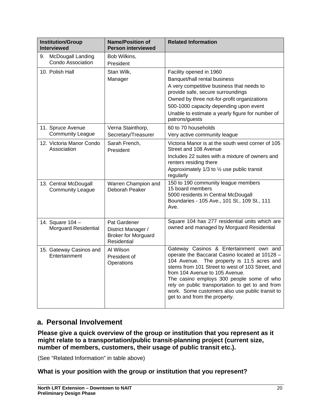| <b>Institution/Group</b><br><b>Interviewed</b>   | <b>Name/Position of</b><br><b>Person interviewed</b>                            | <b>Related Information</b>                                                                                                                                                                                                                                                                                                                                                                                         |
|--------------------------------------------------|---------------------------------------------------------------------------------|--------------------------------------------------------------------------------------------------------------------------------------------------------------------------------------------------------------------------------------------------------------------------------------------------------------------------------------------------------------------------------------------------------------------|
| McDougall Landing<br>9.<br>Condo Association     | Bob Wilkins.<br>President                                                       |                                                                                                                                                                                                                                                                                                                                                                                                                    |
| 10. Polish Hall                                  | Stan Wilk,<br>Manager                                                           | Facility opened in 1960<br>Banquet/hall rental business<br>A very competitive business that needs to<br>provide safe, secure surroundings<br>Owned by three not-for-profit organizations<br>500-1000 capacity depending upon event<br>Unable to estimate a yearly figure for number of<br>patrons/guests                                                                                                           |
| 11. Spruce Avenue<br><b>Community League</b>     | Verna Stainthorp,<br>Secretary/Treasurer                                        | 60 to 70 households<br>Very active community league                                                                                                                                                                                                                                                                                                                                                                |
| 12. Victoria Manor Condo<br>Association          | Sarah French,<br>President                                                      | Victoria Manor is at the south west corner of 105<br>Street and 108 Avenue<br>Includes 22 suites with a mixture of owners and<br>renters residing there<br>Approximately 1/3 to 1/2 use public transit<br>regularly                                                                                                                                                                                                |
| 13. Central McDougall<br><b>Community League</b> | Warren Champion and<br>Deborah Peaker                                           | 150 to 190 community league members<br>15 board members<br>5000 residents in Central McDougall<br>Boundaries - 105 Ave., 101 St., 109 St., 111<br>Ave.                                                                                                                                                                                                                                                             |
| 14. Square 104 -<br><b>Morguard Residential</b>  | Pat Gardener<br>District Manager /<br><b>Broker for Morguard</b><br>Residential | Square 104 has 277 residential units which are<br>owned and managed by Morguard Residential                                                                                                                                                                                                                                                                                                                        |
| 15. Gateway Casinos and<br>Entertainment         | Al Wilson<br>President of<br>Operations                                         | Gateway Casinos & Entertainment own and<br>operate the Baccarat Casino located at 10128 -<br>104 Avenue. The property is 11.5 acres and<br>stems from 101 Street to west of 103 Street, and<br>from 104 Avenue to 105 Avenue.<br>The casino employs 300 people some of who<br>rely on public transportation to get to and from<br>work. Some customers also use public transit to<br>get to and from the property. |

## **a. Personal Involvement**

**Please give a quick overview of the group or institution that you represent as it might relate to a transportation/public transit-planning project (current size, number of members, customers, their usage of public transit etc.).** 

(See "Related Information" in table above)

### **What is your position with the group or institution that you represent?**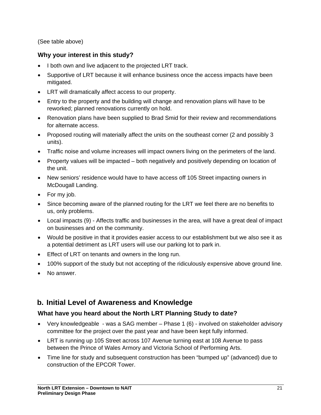(See table above)

### **Why your interest in this study?**

- I both own and live adjacent to the projected LRT track.
- Supportive of LRT because it will enhance business once the access impacts have been mitigated.
- LRT will dramatically affect access to our property.
- Entry to the property and the building will change and renovation plans will have to be reworked; planned renovations currently on hold.
- Renovation plans have been supplied to Brad Smid for their review and recommendations for alternate access.
- Proposed routing will materially affect the units on the southeast corner (2 and possibly 3 units).
- Traffic noise and volume increases will impact owners living on the perimeters of the land.
- Property values will be impacted both negatively and positively depending on location of the unit.
- New seniors' residence would have to have access off 105 Street impacting owners in McDougall Landing.
- For my job.
- Since becoming aware of the planned routing for the LRT we feel there are no benefits to us, only problems.
- Local impacts (9) Affects traffic and businesses in the area, will have a great deal of impact on businesses and on the community.
- Would be positive in that it provides easier access to our establishment but we also see it as a potential detriment as LRT users will use our parking lot to park in.
- Effect of LRT on tenants and owners in the long run.
- 100% support of the study but not accepting of the ridiculously expensive above ground line.
- No answer.

## **b. Initial Level of Awareness and Knowledge**

## **What have you heard about the North LRT Planning Study to date?**

- Very knowledgeable was a SAG member Phase 1 (6) involved on stakeholder advisory committee for the project over the past year and have been kept fully informed.
- LRT is running up 105 Street across 107 Avenue turning east at 108 Avenue to pass between the Prince of Wales Armory and Victoria School of Performing Arts.
- Time line for study and subsequent construction has been "bumped up" (advanced) due to construction of the EPCOR Tower.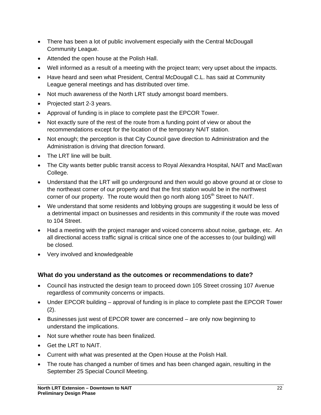- There has been a lot of public involvement especially with the Central McDougall Community League.
- Attended the open house at the Polish Hall.
- Well informed as a result of a meeting with the project team; very upset about the impacts.
- Have heard and seen what President, Central McDougall C.L. has said at Community League general meetings and has distributed over time.
- Not much awareness of the North LRT study amongst board members.
- Projected start 2-3 years.
- Approval of funding is in place to complete past the EPCOR Tower.
- Not exactly sure of the rest of the route from a funding point of view or about the recommendations except for the location of the temporary NAIT station.
- Not enough; the perception is that City Council gave direction to Administration and the Administration is driving that direction forward.
- The LRT line will be built.
- The City wants better public transit access to Royal Alexandra Hospital, NAIT and MacEwan College.
- Understand that the LRT will go underground and then would go above ground at or close to the northeast corner of our property and that the first station would be in the northwest corner of our property. The route would then go north along 105<sup>th</sup> Street to NAIT.
- We understand that some residents and lobbying groups are suggesting it would be less of a detrimental impact on businesses and residents in this community if the route was moved to 104 Street.
- Had a meeting with the project manager and voiced concerns about noise, garbage, etc. An all directional access traffic signal is critical since one of the accesses to (our building) will be closed.
- Very involved and knowledgeable

### **What do you understand as the outcomes or recommendations to date?**

- Council has instructed the design team to proceed down 105 Street crossing 107 Avenue regardless of community concerns or impacts.
- Under EPCOR building approval of funding is in place to complete past the EPCOR Tower  $(2)$ .
- Businesses just west of EPCOR tower are concerned are only now beginning to understand the implications.
- Not sure whether route has been finalized.
- Get the LRT to NAIT.
- Current with what was presented at the Open House at the Polish Hall.
- The route has changed a number of times and has been changed again, resulting in the September 25 Special Council Meeting.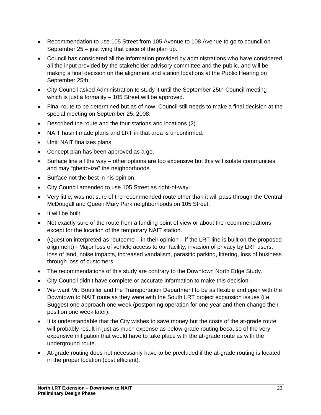- Recommendation to use 105 Street from 105 Avenue to 108 Avenue to go to council on September 25 – just tying that piece of the plan up.
- Council has considered all the information provided by administrations who have considered all the input provided by the stakeholder advisory committee and the public, and will be making a final decision on the alignment and station locations at the Public Hearing on September 25th.
- City Council asked Administration to study it until the September 25th Council meeting which is just a formality – 105 Street will be approved.
- Final route to be determined but as of now, Council still needs to make a final decision at the special meeting on September 25, 2008.
- Described the route and the four stations and locations (2).
- NAIT hasn't made plans and LRT in that area is unconfirmed.
- Until NAIT finalizes plans.
- Concept plan has been approved as a go.
- Surface line all the way other options are too expensive but this will isolate communities and may "ghetto-ize" the neighborhoods.
- Surface not the best in his opinion.
- City Council amended to use 105 Street as right-of-way.
- Very little; was not sure of the recommended route other than it will pass through the Central McDougall and Queen Mary Park neighborhoods on 105 Street.
- It will be built.
- Not exactly sure of the route from a funding point of view or about the recommendations except for the location of the temporary NAIT station.
- (Question interpreted as "outcome  $-$  in their opinion  $-$  if the LRT line is built on the proposed alignment) - Major loss of vehicle access to our facility, invasion of privacy by LRT users, loss of land, noise impacts, increased vandalism, parasitic parking, littering, loss of business through loss of customers
- The recommendations of this study are contrary to the Downtown North Edge Study.
- City Council didn't have complete or accurate information to make this decision.
- We want Mr. Boutiller and the Transportation Department to be as flexible and open with the Downtown to NAIT route as they were with the South LRT project expansion issues (i.e. Suggest one approach one week (postponing operation for one year and then change their position one week later).
- It is understandable that the City wishes to save money but the costs of the at-grade route will probably result in just as much expense as below-grade routing because of the very expensive mitigation that would have to take place with the at-grade route as with the underground route.
- At-grade routing does not necessarily have to be precluded if the at-grade routing is located in the proper location (cost efficient).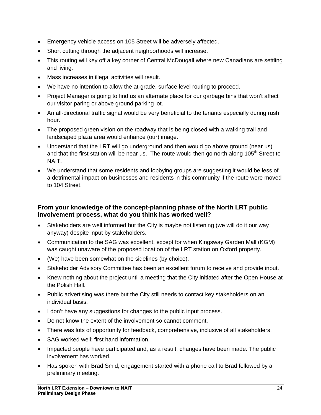- Emergency vehicle access on 105 Street will be adversely affected.
- Short cutting through the adjacent neighborhoods will increase.
- This routing will key off a key corner of Central McDougall where new Canadians are settling and living.
- Mass increases in illegal activities will result.
- We have no intention to allow the at-grade, surface level routing to proceed.
- Project Manager is going to find us an alternate place for our garbage bins that won't affect our visitor paring or above ground parking lot.
- An all-directional traffic signal would be very beneficial to the tenants especially during rush hour.
- The proposed green vision on the roadway that is being closed with a walking trail and landscaped plaza area would enhance (our) image.
- Understand that the LRT will go underground and then would go above ground (near us) and that the first station will be near us. The route would then go north along 105<sup>th</sup> Street to NAIT.
- We understand that some residents and lobbying groups are suggesting it would be less of a detrimental impact on businesses and residents in this community if the route were moved to 104 Street.

### **From your knowledge of the concept-planning phase of the North LRT public involvement process, what do you think has worked well?**

- Stakeholders are well informed but the City is maybe not listening (we will do it our way anyway) despite input by stakeholders.
- Communication to the SAG was excellent, except for when Kingsway Garden Mall (KGM) was caught unaware of the proposed location of the LRT station on Oxford property.
- (We) have been somewhat on the sidelines (by choice).
- Stakeholder Advisory Committee has been an excellent forum to receive and provide input.
- Knew nothing about the project until a meeting that the City initiated after the Open House at the Polish Hall.
- Public advertising was there but the City still needs to contact key stakeholders on an individual basis.
- I don't have any suggestions for changes to the public input process.
- Do not know the extent of the involvement so cannot comment.
- There was lots of opportunity for feedback, comprehensive, inclusive of all stakeholders.
- SAG worked well; first hand information.
- Impacted people have participated and, as a result, changes have been made. The public involvement has worked.
- Has spoken with Brad Smid; engagement started with a phone call to Brad followed by a preliminary meeting.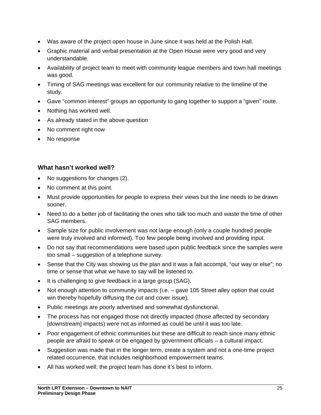- Was aware of the project open house in June since it was held at the Polish Hall.
- Graphic material and verbal presentation at the Open House were very good and very understandable.
- Availability of project team to meet with community league members and town hall meetings was good.
- Timing of SAG meetings was excellent for our community relative to the timeline of the study.
- Gave "common interest" groups an opportunity to gang together to support a "given" route.
- Nothing has worked well.
- As already stated in the above question
- No comment right now
- No response

### **What hasn't worked well?**

- No suggestions for changes (2).
- No comment at this point.
- Must provide opportunities for people to express their views but the line needs to be drawn sooner.
- Need to do a better job of facilitating the ones who talk too much and waste the time of other SAG members.
- Sample size for public involvement was not large enough (only a couple hundred people were truly involved and informed). Too few people being involved and providing input.
- Do not say that recommendations were based upon public feedback since the samples were too small – suggestion of a telephone survey.
- Sense that the City was showing us the plan and it was a fait accompli, "our way or else"; no time or sense that what we have to say will be listened to.
- It is challenging to give feedback in a large group (SAG).
- Not enough attention to community impacts (i.e. gave 105 Street alley option that could win thereby hopefully diffusing the cut and cover issue).
- Public meetings are poorly advertised and somewhat dysfunctional.
- The process has not engaged those not directly impacted (those affected by secondary [downstream] impacts) were not as informed as could be until it was too late.
- Poor engagement of ethnic communities but these are difficult to reach since many ethnic people are afraid to speak or be engaged by government officials – a cultural impact.
- Suggestion was made that in the longer term, create a system and not a one-time project related occurrence, that includes neighborhood empowerment teams.
- All has worked well; the project team has done it's best to inform.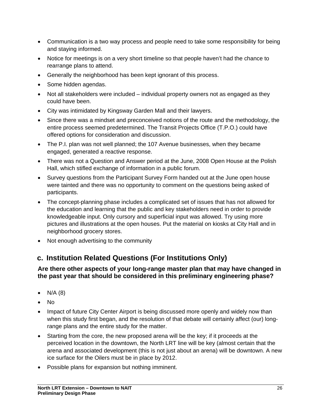- Communication is a two way process and people need to take some responsibility for being and staying informed.
- Notice for meetings is on a very short timeline so that people haven't had the chance to rearrange plans to attend.
- Generally the neighborhood has been kept ignorant of this process.
- Some hidden agendas.
- Not all stakeholders were included individual property owners not as engaged as they could have been.
- City was intimidated by Kingsway Garden Mall and their lawyers.
- Since there was a mindset and preconceived notions of the route and the methodology, the entire process seemed predetermined. The Transit Projects Office (T.P.O.) could have offered options for consideration and discussion.
- The P.I. plan was not well planned; the 107 Avenue businesses, when they became engaged, generated a reactive response.
- There was not a Question and Answer period at the June, 2008 Open House at the Polish Hall, which stifled exchange of information in a public forum.
- Survey questions from the Participant Survey Form handed out at the June open house were tainted and there was no opportunity to comment on the questions being asked of participants.
- The concept-planning phase includes a complicated set of issues that has not allowed for the education and learning that the public and key stakeholders need in order to provide knowledgeable input. Only cursory and superficial input was allowed. Try using more pictures and illustrations at the open houses. Put the material on kiosks at City Hall and in neighborhood grocery stores.
- Not enough advertising to the community

# **c. Institution Related Questions (For Institutions Only)**

### **Are there other aspects of your long-range master plan that may have changed in the past year that should be considered in this preliminary engineering phase?**

- $\bullet$  N/A (8)
- No
- Impact of future City Center Airport is being discussed more openly and widely now than when this study first began, and the resolution of that debate will certainly affect (our) longrange plans and the entire study for the matter.
- Starting from the core, the new proposed arena will be the key; if it proceeds at the perceived location in the downtown, the North LRT line will be key (almost certain that the arena and associated development (this is not just about an arena) will be downtown. A new ice surface for the Oilers must be in place by 2012.
- Possible plans for expansion but nothing imminent.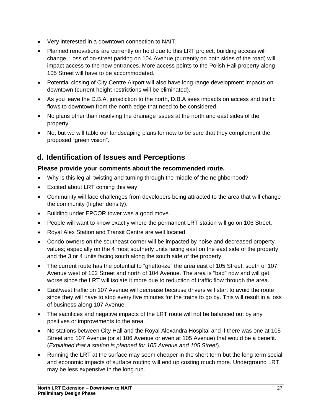- Very interested in a downtown connection to NAIT.
- Planned renovations are currently on hold due to this LRT project; building access will change. Loss of on-street parking on 104 Avenue (currently on both sides of the road) will impact access to the new entrances. More access points to the Polish Hall property along 105 Street will have to be accommodated.
- Potential closing of City Centre Airport will also have long range development impacts on downtown (current height restrictions will be eliminated).
- As you leave the D.B.A. jurisdiction to the north, D.B.A sees impacts on access and traffic flows to downtown from the north edge that need to be considered.
- No plans other than resolving the drainage issues at the north and east sides of the property.
- No, but we will table our landscaping plans for now to be sure that they complement the proposed "green vision".

# **d. Identification of Issues and Perceptions**

### **Please provide your comments about the recommended route.**

- Why is this leg all twisting and turning through the middle of the neighborhood?
- Excited about LRT coming this way
- Community will face challenges from developers being attracted to the area that will change the community (higher density).
- Building under EPCOR tower was a good move.
- People will want to know exactly where the permanent LRT station will go on 106 Street.
- Royal Alex Station and Transit Centre are well located.
- Condo owners on the southeast corner will be impacted by noise and decreased property values; especially on the 4 most southerly units facing east on the east side of the property and the 3 or 4 units facing south along the south side of the property.
- The current route has the potential to "ghetto-ize" the area east of 105 Street, south of 107 Avenue west of 102 Street and north of 104 Avenue. The area is "bad" now and will get worse since the LRT will isolate it more due to reduction of traffic flow through the area.
- East/west traffic on 107 Avenue will decrease because drivers will start to avoid the route since they will have to stop every five minutes for the trains to go by. This will result in a loss of business along 107 Avenue.
- The sacrifices and negative impacts of the LRT route will not be balanced out by any positives or improvements to the area.
- No stations between City Hall and the Royal Alexandra Hospital and if there was one at 105 Street and 107 Avenue (or at 106 Avenue or even at 105 Avenue) that would be a benefit. (*Explained that a station is planned for 105 Avenue and 105 Street*).
- Running the LRT at the surface may seem cheaper in the short term but the long term social and economic impacts of surface routing will end up costing much more. Underground LRT may be less expensive in the long run.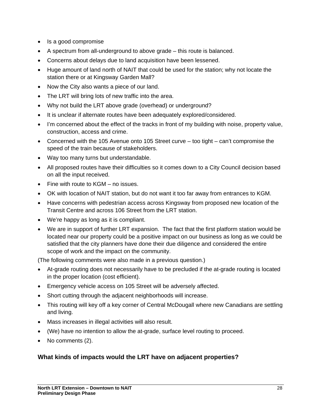- Is a good compromise
- A spectrum from all-underground to above grade this route is balanced.
- Concerns about delays due to land acquisition have been lessened.
- Huge amount of land north of NAIT that could be used for the station; why not locate the station there or at Kingsway Garden Mall?
- Now the City also wants a piece of our land.
- The LRT will bring lots of new traffic into the area.
- Why not build the LRT above grade (overhead) or underground?
- It is unclear if alternate routes have been adequately explored/considered.
- I'm concerned about the effect of the tracks in front of my building with noise, property value, construction, access and crime.
- Concerned with the 105 Avenue onto 105 Street curve too tight can't compromise the speed of the train because of stakeholders.
- Way too many turns but understandable.
- All proposed routes have their difficulties so it comes down to a City Council decision based on all the input received.
- Fine with route to KGM no issues.
- OK with location of NAIT station, but do not want it too far away from entrances to KGM.
- Have concerns with pedestrian access across Kingsway from proposed new location of the Transit Centre and across 106 Street from the LRT station.
- We're happy as long as it is compliant.
- We are in support of further LRT expansion. The fact that the first platform station would be located near our property could be a positive impact on our business as long as we could be satisfied that the city planners have done their due diligence and considered the entire scope of work and the impact on the community.

(The following comments were also made in a previous question.)

- At-grade routing does not necessarily have to be precluded if the at-grade routing is located in the proper location (cost efficient).
- Emergency vehicle access on 105 Street will be adversely affected.
- Short cutting through the adjacent neighborhoods will increase.
- This routing will key off a key corner of Central McDougall where new Canadians are settling and living.
- Mass increases in illegal activities will also result.
- (We) have no intention to allow the at-grade, surface level routing to proceed.
- No comments (2).

## **What kinds of impacts would the LRT have on adjacent properties?**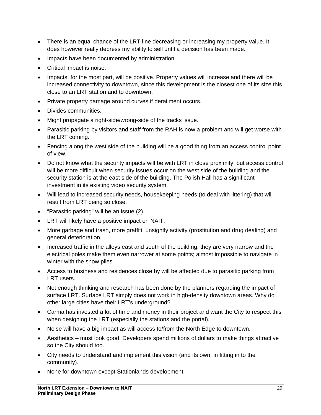- There is an equal chance of the LRT line decreasing or increasing my property value. It does however really depress my ability to sell until a decision has been made.
- Impacts have been documented by administration.
- Critical impact is noise.
- Impacts, for the most part, will be positive. Property values will increase and there will be increased connectivity to downtown, since this development is the closest one of its size this close to an LRT station and to downtown.
- Private property damage around curves if derailment occurs.
- Divides communities.
- Might propagate a right-side/wrong-side of the tracks issue.
- Parasitic parking by visitors and staff from the RAH is now a problem and will get worse with the LRT coming.
- Fencing along the west side of the building will be a good thing from an access control point of view.
- Do not know what the security impacts will be with LRT in close proximity, but access control will be more difficult when security issues occur on the west side of the building and the security station is at the east side of the building. The Polish Hall has a significant investment in its existing video security system.
- Will lead to increased security needs, housekeeping needs (to deal with littering) that will result from LRT being so close.
- "Parasitic parking" will be an issue (2).
- LRT will likely have a positive impact on NAIT.
- More garbage and trash, more graffiti, unsightly activity (prostitution and drug dealing) and general deterioration.
- Increased traffic in the alleys east and south of the building; they are very narrow and the electrical poles make them even narrower at some points; almost impossible to navigate in winter with the snow piles.
- Access to business and residences close by will be affected due to parasitic parking from LRT users.
- Not enough thinking and research has been done by the planners regarding the impact of surface LRT. Surface LRT simply does not work in high-density downtown areas. Why do other large cities have their LRT's underground?
- Carma has invested a lot of time and money in their project and want the City to respect this when designing the LRT (especially the stations and the portal).
- Noise will have a big impact as will access to/from the North Edge to downtown.
- Aesthetics must look good. Developers spend millions of dollars to make things attractive so the City should too.
- City needs to understand and implement this vision (and its own, in fitting in to the community).
- None for downtown except Stationlands development.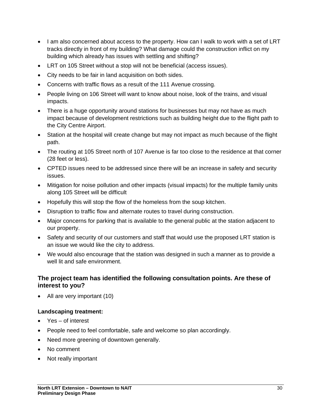- I am also concerned about access to the property. How can I walk to work with a set of LRT tracks directly in front of my building? What damage could the construction inflict on my building which already has issues with settling and shifting?
- LRT on 105 Street without a stop will not be beneficial (access issues).
- City needs to be fair in land acquisition on both sides.
- Concerns with traffic flows as a result of the 111 Avenue crossing.
- People living on 106 Street will want to know about noise, look of the trains, and visual impacts.
- There is a huge opportunity around stations for businesses but may not have as much impact because of development restrictions such as building height due to the flight path to the City Centre Airport.
- Station at the hospital will create change but may not impact as much because of the flight path.
- The routing at 105 Street north of 107 Avenue is far too close to the residence at that corner (28 feet or less).
- CPTED issues need to be addressed since there will be an increase in safety and security issues.
- Mitigation for noise pollution and other impacts (visual impacts) for the multiple family units along 105 Street will be difficult
- Hopefully this will stop the flow of the homeless from the soup kitchen.
- Disruption to traffic flow and alternate routes to travel during construction.
- Major concerns for parking that is available to the general public at the station adjacent to our property.
- Safety and security of our customers and staff that would use the proposed LRT station is an issue we would like the city to address.
- We would also encourage that the station was designed in such a manner as to provide a well lit and safe environment.

### **The project team has identified the following consultation points. Are these of interest to you?**

• All are very important (10)

#### **Landscaping treatment:**

- Yes of interest
- People need to feel comfortable, safe and welcome so plan accordingly.
- Need more greening of downtown generally.
- No comment
- Not really important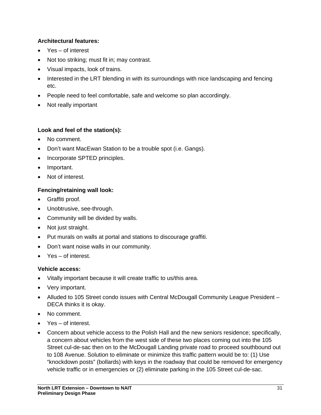### **Architectural features:**

- Yes of interest
- Not too striking; must fit in; may contrast.
- Visual impacts, look of trains.
- Interested in the LRT blending in with its surroundings with nice landscaping and fencing etc.
- People need to feel comfortable, safe and welcome so plan accordingly.
- Not really important

### **Look and feel of the station(s):**

- No comment.
- Don't want MacEwan Station to be a trouble spot (i.e. Gangs).
- Incorporate SPTED principles.
- Important.
- Not of interest.

### **Fencing/retaining wall look:**

- Graffiti proof.
- Unobtrusive, see-through.
- Community will be divided by walls.
- Not just straight.
- Put murals on walls at portal and stations to discourage graffiti.
- Don't want noise walls in our community.
- Yes of interest.

### **Vehicle access:**

- Vitally important because it will create traffic to us/this area.
- Very important.
- Alluded to 105 Street condo issues with Central McDougall Community League President DECA thinks it is okay.
- No comment.
- Yes of interest.
- Concern about vehicle access to the Polish Hall and the new seniors residence; specifically, a concern about vehicles from the west side of these two places coming out into the 105 Street cul-de-sac then on to the McDougall Landing private road to proceed southbound out to 108 Avenue. Solution to eliminate or minimize this traffic pattern would be to: (1) Use "knockdown posts" (bollards) with keys in the roadway that could be removed for emergency vehicle traffic or in emergencies or (2) eliminate parking in the 105 Street cul-de-sac.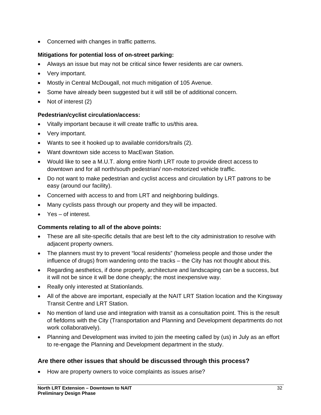• Concerned with changes in traffic patterns.

### **Mitigations for potential loss of on-street parking:**

- Always an issue but may not be critical since fewer residents are car owners.
- Very important.
- Mostly in Central McDougall, not much mitigation of 105 Avenue.
- Some have already been suggested but it will still be of additional concern.
- Not of interest (2)

### **Pedestrian/cyclist circulation/access:**

- Vitally important because it will create traffic to us/this area.
- Very important.
- Wants to see it hooked up to available corridors/trails (2).
- Want downtown side access to MacEwan Station.
- Would like to see a M.U.T. along entire North LRT route to provide direct access to downtown and for all north/south pedestrian/ non-motorized vehicle traffic.
- Do not want to make pedestrian and cyclist access and circulation by LRT patrons to be easy (around our facility).
- Concerned with access to and from LRT and neighboring buildings.
- Many cyclists pass through our property and they will be impacted.
- Yes of interest.

### **Comments relating to all of the above points:**

- These are all site-specific details that are best left to the city administration to resolve with adjacent property owners.
- The planners must try to prevent "local residents" (homeless people and those under the influence of drugs) from wandering onto the tracks – the City has not thought about this.
- Regarding aesthetics, if done properly, architecture and landscaping can be a success, but it will not be since it will be done cheaply; the most inexpensive way.
- Really only interested at Stationlands.
- All of the above are important, especially at the NAIT LRT Station location and the Kingsway Transit Centre and LRT Station.
- No mention of land use and integration with transit as a consultation point. This is the result of fiefdoms with the City (Transportation and Planning and Development departments do not work collaboratively).
- Planning and Development was invited to join the meeting called by (us) in July as an effort to re-engage the Planning and Development department in the study.

## **Are there other issues that should be discussed through this process?**

• How are property owners to voice complaints as issues arise?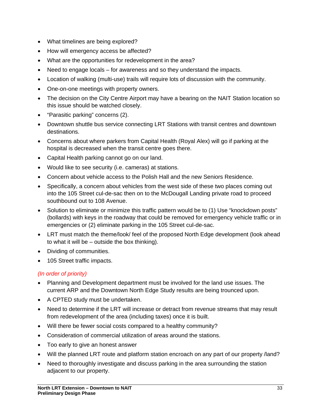- What timelines are being explored?
- How will emergency access be affected?
- What are the opportunities for redevelopment in the area?
- Need to engage locals for awareness and so they understand the impacts.
- Location of walking (multi-use) trails will require lots of discussion with the community.
- One-on-one meetings with property owners.
- The decision on the City Centre Airport may have a bearing on the NAIT Station location so this issue should be watched closely.
- "Parasitic parking" concerns (2).
- Downtown shuttle bus service connecting LRT Stations with transit centres and downtown destinations.
- Concerns about where parkers from Capital Health (Royal Alex) will go if parking at the hospital is decreased when the transit centre goes there.
- Capital Health parking cannot go on our land.
- Would like to see security (i.e. cameras) at stations.
- Concern about vehicle access to the Polish Hall and the new Seniors Residence.
- Specifically, a concern about vehicles from the west side of these two places coming out into the 105 Street cul-de-sac then on to the McDougall Landing private road to proceed southbound out to 108 Avenue.
- Solution to eliminate or minimize this traffic pattern would be to (1) Use "knockdown posts" (bollards) with keys in the roadway that could be removed for emergency vehicle traffic or in emergencies or (2) eliminate parking in the 105 Street cul-de-sac.
- LRT must match the theme/look/ feel of the proposed North Edge development (look ahead to what it will be – outside the box thinking).
- Dividing of communities.
- 105 Street traffic impacts.

### *(In order of priority)*

- Planning and Development department must be involved for the land use issues. The current ARP and the Downtown North Edge Study results are being trounced upon.
- A CPTED study must be undertaken.
- Need to determine if the LRT will increase or detract from revenue streams that may result from redevelopment of the area (including taxes) once it is built.
- Will there be fewer social costs compared to a healthy community?
- Consideration of commercial utilization of areas around the stations.
- Too early to give an honest answer
- Will the planned LRT route and platform station encroach on any part of our property /land?
- Need to thoroughly investigate and discuss parking in the area surrounding the station adjacent to our property.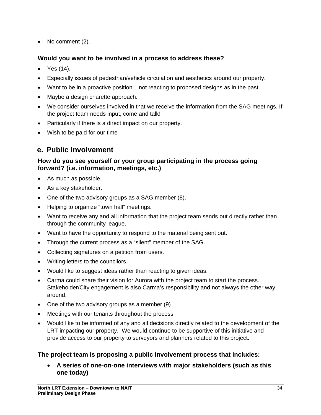• No comment (2).

### **Would you want to be involved in a process to address these?**

- Yes (14).
- Especially issues of pedestrian/vehicle circulation and aesthetics around our property.
- Want to be in a proactive position not reacting to proposed designs as in the past.
- Maybe a design charette approach.
- We consider ourselves involved in that we receive the information from the SAG meetings. If the project team needs input, come and talk!
- Particularly if there is a direct impact on our property.
- Wish to be paid for our time

## **e. Public Involvement**

### **How do you see yourself or your group participating in the process going forward? (i.e. information, meetings, etc.)**

- As much as possible.
- As a key stakeholder.
- One of the two advisory groups as a SAG member (8).
- Helping to organize "town hall" meetings.
- Want to receive any and all information that the project team sends out directly rather than through the community league.
- Want to have the opportunity to respond to the material being sent out.
- Through the current process as a "silent" member of the SAG.
- Collecting signatures on a petition from users.
- Writing letters to the councilors.
- Would like to suggest ideas rather than reacting to given ideas.
- Carma could share their vision for Aurora with the project team to start the process. Stakeholder/City engagement is also Carma's responsibility and not always the other way around.
- One of the two advisory groups as a member (9)
- Meetings with our tenants throughout the process
- Would like to be informed of any and all decisions directly related to the development of the LRT impacting our property. We would continue to be supportive of this initiative and provide access to our property to surveyors and planners related to this project.

### **The project team is proposing a public involvement process that includes:**

• **A series of one-on-one interviews with major stakeholders (such as this one today)**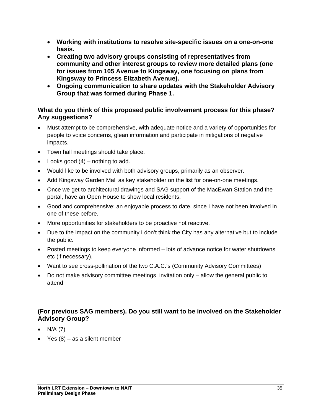- **Working with institutions to resolve site-specific issues on a one-on-one basis.**
- **Creating two advisory groups consisting of representatives from community and other interest groups to review more detailed plans (one for issues from 105 Avenue to Kingsway, one focusing on plans from Kingsway to Princess Elizabeth Avenue).**
- **Ongoing communication to share updates with the Stakeholder Advisory Group that was formed during Phase 1.**

### **What do you think of this proposed public involvement process for this phase? Any suggestions?**

- Must attempt to be comprehensive, with adequate notice and a variety of opportunities for people to voice concerns, glean information and participate in mitigations of negative impacts.
- Town hall meetings should take place.
- Looks good  $(4)$  nothing to add.
- Would like to be involved with both advisory groups, primarily as an observer.
- Add Kingsway Garden Mall as key stakeholder on the list for one-on-one meetings.
- Once we get to architectural drawings and SAG support of the MacEwan Station and the portal, have an Open House to show local residents.
- Good and comprehensive; an enjoyable process to date, since I have not been involved in one of these before.
- More opportunities for stakeholders to be proactive not reactive.
- Due to the impact on the community I don't think the City has any alternative but to include the public.
- Posted meetings to keep everyone informed lots of advance notice for water shutdowns etc (if necessary).
- Want to see cross-pollination of the two C.A.C.'s (Community Advisory Committees)
- Do not make advisory committee meetings invitation only allow the general public to attend

### **(For previous SAG members). Do you still want to be involved on the Stakeholder Advisory Group?**

- $N/A (7)$
- Yes  $(8)$  as a silent member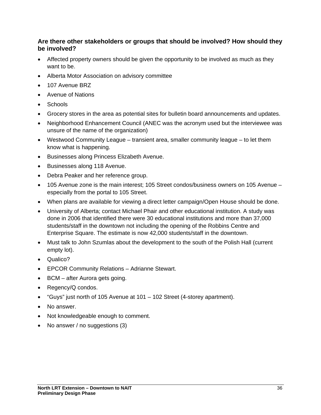### **Are there other stakeholders or groups that should be involved? How should they be involved?**

- Affected property owners should be given the opportunity to be involved as much as they want to be.
- Alberta Motor Association on advisory committee
- 107 Avenue BRZ
- Avenue of Nations
- Schools
- Grocery stores in the area as potential sites for bulletin board announcements and updates.
- Neighborhood Enhancement Council (ANEC was the acronym used but the interviewee was unsure of the name of the organization)
- Westwood Community League transient area, smaller community league to let them know what is happening.
- Businesses along Princess Elizabeth Avenue.
- Businesses along 118 Avenue.
- Debra Peaker and her reference group.
- 105 Avenue zone is the main interest; 105 Street condos/business owners on 105 Avenue especially from the portal to 105 Street.
- When plans are available for viewing a direct letter campaign/Open House should be done.
- University of Alberta; contact Michael Phair and other educational institution. A study was done in 2006 that identified there were 30 educational institutions and more than 37,000 students/staff in the downtown not including the opening of the Robbins Centre and Enterprise Square. The estimate is now 42,000 students/staff in the downtown.
- Must talk to John Szumlas about the development to the south of the Polish Hall (current empty lot).
- Qualico?
- EPCOR Community Relations Adrianne Stewart.
- BCM after Aurora gets going.
- Regency/Q condos.
- "Guys" just north of 105 Avenue at 101 102 Street (4-storey apartment).
- No answer.
- Not knowledgeable enough to comment.
- No answer / no suggestions (3)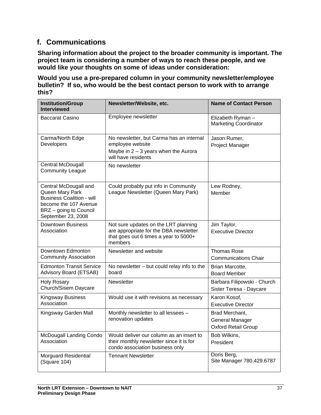## **f. Communications**

**Sharing information about the project to the broader community is important. The project team is considering a number of ways to reach these people, and we would like your thoughts on some of ideas under consideration:**

**Would you use a pre-prepared column in your community newsletter/employee bulletin? If so, who would be the best contact person to work with to arrange this?**

| <b>Institution/Group</b><br><b>Interviewed</b>                                                                                                        | Newsletter/Website, etc.                                                                                                           | <b>Name of Contact Person</b>                                          |
|-------------------------------------------------------------------------------------------------------------------------------------------------------|------------------------------------------------------------------------------------------------------------------------------------|------------------------------------------------------------------------|
| <b>Baccarat Casino</b>                                                                                                                                | Employee newsletter                                                                                                                | Elizabeth Ryman-<br><b>Marketing Coordinator</b>                       |
| Carma/North Edge<br>Developers                                                                                                                        | No newsletter, but Carma has an internal<br>employee website<br>Maybe in $2 - 3$ years when the Aurora<br>will have residents      | Jason Rumer,<br>Project Manager                                        |
| <b>Central McDougall</b><br><b>Community League</b>                                                                                                   | No newsletter                                                                                                                      |                                                                        |
| Central McDougall and<br>Queen Mary Park<br><b>Business Coalition - will</b><br>become the 107 Avenue<br>BRZ - going to Council<br>September 23, 2008 | Could probably put info in Community<br>League Newsletter (Queen Mary Park)                                                        | Lew Rodney,<br>Member                                                  |
| <b>Downtown Business</b><br>Association                                                                                                               | Not sure updates on the LRT planning<br>are appropriate for the DBA newsletter<br>that goes out 6 times a year to 5000+<br>members | Jim Taylor,<br><b>Executive Director</b>                               |
| Downtown Edmonton<br><b>Community Association</b>                                                                                                     | Newsletter and website                                                                                                             | <b>Thomas Rose</b><br><b>Communications Chair</b>                      |
| <b>Edmonton Transit Service</b><br>Advisory Board (ETSAB)                                                                                             | No newsletter $-$ but could relay info to the<br>board                                                                             | Brian Marcotte,<br><b>Board Member</b>                                 |
| <b>Holy Rosary</b><br>Church/Sisem Daycare                                                                                                            | <b>Newsletter</b>                                                                                                                  | Barbara Filipowski - Church<br>Sister Teresa - Daycare                 |
| <b>Kingsway Business</b><br>Association                                                                                                               | Would use it with revisions as necessary                                                                                           | Karon Kosof,<br><b>Executive Director</b>                              |
| Kingsway Garden Mall                                                                                                                                  | Monthly newsletter to all lessees -<br>renovation updates                                                                          | Brad Merchant,<br><b>General Manager</b><br><b>Oxford Retail Group</b> |
| McDougall Landing Condo<br>Association                                                                                                                | Would deliver our column as an insert to<br>their monthly newsletter since it is for<br>condo association business only            | Bob Wilkins,<br>President                                              |
| Morguard Residential<br>(Square 104)                                                                                                                  | <b>Tennant Newsletter</b>                                                                                                          | Doris Berg,<br>Site Manager 780.429.6787                               |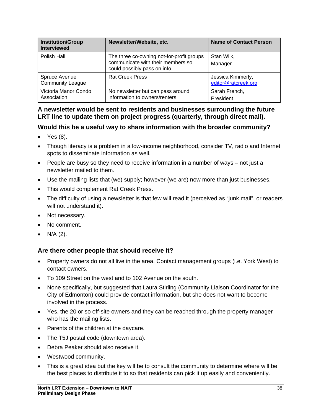| <b>Institution/Group</b><br><b>Interviewed</b> | Newsletter/Website, etc.                                                                                      | <b>Name of Contact Person</b>            |
|------------------------------------------------|---------------------------------------------------------------------------------------------------------------|------------------------------------------|
| Polish Hall                                    | The three co-owning not-for-profit groups<br>communicate with their members so<br>could possibly pass on info | Stan Wilk,<br>Manager                    |
| Spruce Avenue<br><b>Community League</b>       | <b>Rat Creek Press</b>                                                                                        | Jessica Kimmerly,<br>editor@ratcreek.org |
| Victoria Manor Condo<br>Association            | No newsletter but can pass around<br>information to owners/renters                                            | Sarah French,<br>President               |

### **A newsletter would be sent to residents and businesses surrounding the future LRT line to update them on project progress (quarterly, through direct mail).**

### **Would this be a useful way to share information with the broader community?**

- Yes (8).
- Though literacy is a problem in a low-income neighborhood, consider TV, radio and Internet spots to disseminate information as well.
- People are busy so they need to receive information in a number of ways not just a newsletter mailed to them.
- Use the mailing lists that (we) supply; however (we are) now more than just businesses.
- This would complement Rat Creek Press.
- The difficulty of using a newsletter is that few will read it (perceived as "junk mail", or readers will not understand it).
- Not necessary.
- No comment.
- $N/A$  (2).

### **Are there other people that should receive it?**

- Property owners do not all live in the area. Contact management groups (i.e. York West) to contact owners.
- To 109 Street on the west and to 102 Avenue on the south.
- None specifically, but suggested that Laura Stirling (Community Liaison Coordinator for the City of Edmonton) could provide contact information, but she does not want to become involved in the process.
- Yes, the 20 or so off-site owners and they can be reached through the property manager who has the mailing lists.
- Parents of the children at the daycare.
- The T5J postal code (downtown area).
- Debra Peaker should also receive it.
- Westwood community.
- This is a great idea but the key will be to consult the community to determine where will be the best places to distribute it to so that residents can pick it up easily and conveniently.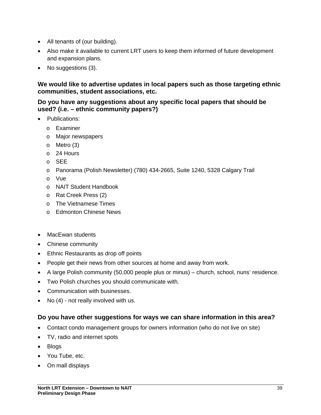- All tenants of (our building).
- Also make it available to current LRT users to keep them informed of future development and expansion plans.
- No suggestions (3).

### **We would like to advertise updates in local papers such as those targeting ethnic communities, student associations, etc.**

### **Do you have any suggestions about any specific local papers that should be used? (i.e. – ethnic community papers?)**

- Publications:
	- o Examiner
	- o Major newspapers
	- o Metro (3)
	- o 24 Hours
	- o SEE
	- o Panorama (Polish Newsletter) (780) 434-2665, Suite 1240, 5328 Calgary Trail
	- o Vue
	- o NAIT Student Handbook
	- o Rat Creek Press (2)
	- o The Vietnamese Times
	- o Edmonton Chinese News
- MacEwan students
- Chinese community
- Ethnic Restaurants as drop off points
- People get their news from other sources at home and away from work.
- A large Polish community (50,000 people plus or minus) church, school, nuns' residence.
- Two Polish churches you should communicate with.
- Communication with businesses.
- No (4) not really involved with us.

### **Do you have other suggestions for ways we can share information in this area?**

- Contact condo management groups for owners information (who do not live on site)
- TV, radio and internet spots
- Blogs
- You Tube, etc.
- On mall displays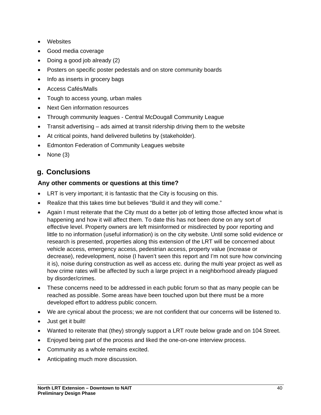- Websites
- Good media coverage
- Doing a good job already (2)
- Posters on specific poster pedestals and on store community boards
- Info as inserts in grocery bags
- Access Cafés/Malls
- Tough to access young, urban males
- Next Gen information resources
- Through community leagues Central McDougall Community League
- Transit advertising ads aimed at transit ridership driving them to the website
- At critical points, hand delivered bulletins by (stakeholder).
- Edmonton Federation of Community Leagues website
- None (3)

## **g. Conclusions**

### **Any other comments or questions at this time?**

- LRT is very important; it is fantastic that the City is focusing on this.
- Realize that this takes time but believes "Build it and they will come."
- Again I must reiterate that the City must do a better job of letting those affected know what is happening and how it will affect them. To date this has not been done on any sort of effective level. Property owners are left misinformed or misdirected by poor reporting and little to no information (useful information) is on the city website. Until some solid evidence or research is presented, properties along this extension of the LRT will be concerned about vehicle access, emergency access, pedestrian access, property value (increase or decrease), redevelopment, noise (I haven't seen this report and I'm not sure how convincing it is), noise during construction as well as access etc. during the multi year project as well as how crime rates will be affected by such a large project in a neighborhood already plagued by disorder/crimes.
- These concerns need to be addressed in each public forum so that as many people can be reached as possible. Some areas have been touched upon but there must be a more developed effort to address public concern.
- We are cynical about the process; we are not confident that our concerns will be listened to.
- Just get it built!
- Wanted to reiterate that (they) strongly support a LRT route below grade and on 104 Street.
- Enjoyed being part of the process and liked the one-on-one interview process.
- Community as a whole remains excited.
- Anticipating much more discussion.